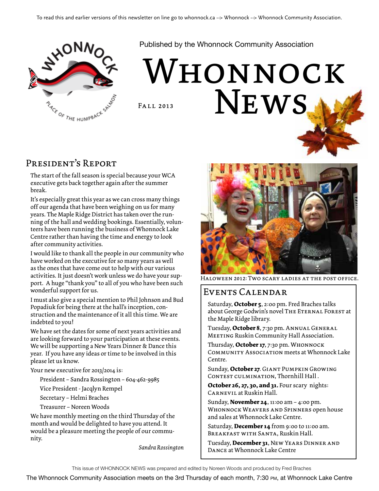

Published by the Whonnock Community Association

# WHONNOCK NEWS. Fall 2013

#### President's Report

The start of the fall season is special because your WCA executive gets back together again after the summer break.

It's especially great this year as we can cross many things off our agenda that have been weighing on us for many years. The Maple Ridge District has taken over the running of the hall and wedding bookings. Essentially, volunteers have been running the business of Whonnock Lake Centre rather than having the time and energy to look after community activities.

I would like to thank all the people in our community who have worked on the executive for so many years as well as the ones that have come out to help with our various activities. It just doesn't work unless we do have your support. A huge "thank you" to all of you who have been such wonderful support for us.

I must also give a special mention to Phil Johnson and Bud Popadiuk for being there at the hall's inception, construction and the maintenance of it all this time. We are indebted to you!

We have set the dates for some of next years activities and are looking forward to your participation at these events. We will be supporting a New Years Dinner & Dance this year. If you have any ideas or time to be involved in this please let us know.

Your new executive for 2013/2014 is:

President – Sandra Rossington – 604-462-9985

Vice President - Jacqlyn Rempel

Secretary – Helmi Braches

Treasurer – Noreen Woods

We have monthly meeting on the third Thursday of the month and would be delighted to have you attend. It would be a pleasure meeting the people of our community.

*Sandra Rossington*



Haloween 2012: Two scary ladies at the post office.

#### Events Calendar

Saturday, **October 5**, 2:00 pm. Fred Braches talks about George Godwin's novel THE ETERNAL FOREST at the Maple Ridge library.

Tuesday, **October 8**, 7:30 pm. Annual General Meeting Ruskin Community Hall Association.

Thursday, **October 17**, 7:30 pm. Whonnock Community Association meets at Whonnock Lake Centre.

Sunday, **October 27**. Giant Pumpkin Growing CONTEST CULMINATION, Thornhill Hall.

**October 26, 27, 30, and 31.** Four scary nights: Carnevil at Ruskin Hall.

Sunday, **November 24**, 11:00 am – 4:00 pm. Whonnock Weavers and Spinners open house and sales at Whonnock Lake Centre.

Saturday, **December 14** from 9:00 to 11:00 am. Breakfast with Santa, Ruskin Hall.

Tuesday, **December 31**, New Years Dinner and Dance at Whonnock Lake Centre

This issue of Whonnock News was prepared and edited by Noreen Woods and produced by Fred Braches

The Whonnock Community Association meets on the 3rd Thursday of each month, 7:30 pm, at Whonnock Lake Centre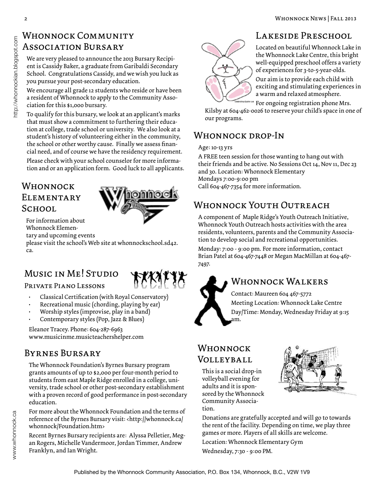### Whonnock Community ASSOCIATION BURSARY

We are very pleased to announce the 2013 Bursary Recipient is Cassidy Baker, a graduate from Garibaldi Secondary School. Congratulations Cassidy, and we wish you luck as you pursue your post-secondary education.

We encourage all grade 12 students who reside or have been a resident of Whonnock to apply to the Community Association for this \$1,000 bursary.

To qualify for this bursary, we look at an applicant's marks that must show a commitment to furthering their education at college, trade school or university. We also look at a student's history of volunteering either in the community, the school or other worthy cause. Finally we assess financial need, and of course we have the residency requirement.

Please check with your school counselor for more information and or an application form. Good luck to all applicants.

## **ELEMENTARY SCHOOL**



For information about Whonnock Elemen-

tary and upcoming events

please visit the school's Web site at whonnockschool.sd42. ca.

## Music in Me! Studio

Private Piano Lessons



- Classical Certification (with Royal Conservatory)
- Recreational music (chording, playing by ear)
- Worship styles (improvise, play in a band)
- Contemporary styles (Pop, Jazz & Blues)

Eleanor Tracey. Phone: 604-287-6963 www.musicinme.musicteachershelper.com

#### Byrnes Bursary

The Whonnock Foundation's Byrnes Bursary program grants amounts of up to \$2,000 per four-month period to students from east Maple Ridge enrolled in a college, university, trade school or other post-secondary establishment with a proven record of good performance in post-secondary education.

For more about the Whonnock Foundation and the terms of reference of the Byrnes Bursary visit: <http://whonnock.ca/ whonnock/Foundation.htm>

Recent Byrnes Bursary recipients are: Alyssa Pelletier, Megan Rogers, Michelle Vandermoor, Jordan Timmer, Andrew Franklyn, and Ian Wright.



### LAKESIDE PRESCHOOL

Located on beautiful Whonnock Lake in the Whonnock Lake Centre, this bright well-equipped preschool offers a variety of experiences for 3-to-5-year-olds.

Our aim is to provide each child with exciting and stimulating experiences in a warm and relaxed atmosphere.

For ongoing registration phone Mrs.

Kilsby at 604-462-0026 to reserve your child's space in one of our programs.

## Whonnock drop-In

Age: 10-13 yrs

A FREE teen session for those wanting to hang out with their friends and be active. No Sessions Oct 14, Nov 11, Dec 23 and 30. Location: Whonnock Elementary Mondays 7:00-9:00 pm  $WHONN OCK$  Call 604-467-7354 for more information.

## Whonnock Youth Outreach

A component of Maple Ridge's Youth Outreach Initiative, Whonnock Youth Outreach hosts activities with the area residents, volunteers, parents and the Community Association to develop social and recreational opportunities.

Monday: 7:00 - 9:00 pm. For more information, contact Brian Patel at 604-467-7448 or Megan MacMillan at 604-467- 7497.

### WHONNOCK WALKERS

Contact: Maureen 604 467-5772 Meeting Location: Whonnock Lake Centre Day/Time: Monday, Wednesday Friday at 9:15 am.

#### Whonnock Volleyball

This is a social drop-in volleyball evening for adults and it is sponsored by the Whonnock Community Association.



Donations are gratefully accepted and will go to towards the rent of the facility. Depending on time, we play three games or more. Players of all skills are welcome.

Location: Whonnock Elementary Gym

Wednesday, 7:30 - 9:00 PM.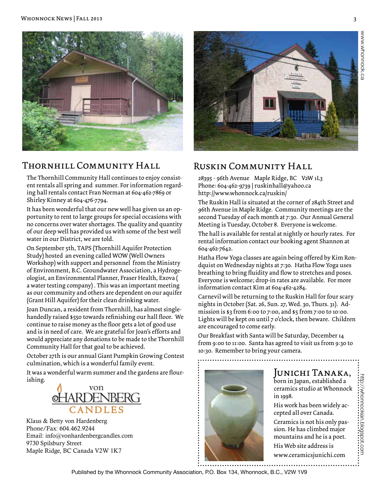

#### Thornhill Community Hall

The Thornhill Community Hall continues to enjoy consistent rentals all spring and summer. For information regarding hall rentals contact Fran Norman at 604-462-7869 or Shirley Kinney at 604-476-7794.

It has been wonderful that our new well has given us an opportunity to rent to large groups for special occasions with no concerns over water shortages. The quality and quantity of our deep well has provided us with some of the best well water in our District, we are told.

On September 5th, TAPS (Thornhill Aquifer Protection Study) hosted an evening called WOW (Well Owners Workshop) with support and personnel from the Ministry of Environment, B.C. Groundwater Association, a Hydrogeologist, an Environmental Planner, Fraser Health, Exova ( a water testing company) . This was an important meeting as our community and others are dependent on our aquifer (Grant Hill Aquifer) for their clean drinking water.

Joan Duncan, a resident from Thornhill, has almost singlehandedly raised \$550 towards refinishing our hall floor. We continue to raise money as the floor gets a lot of good use and is in need of care. We are grateful for Joan's efforts and would appreciate any donations to be made to the Thornhill Community Hall for that goal to be achieved.

October 27th is our annual Giant Pumpkin Growing Contest culmination, which is a wonderful family event.

It was a wonderful warm summer and the gardens are flour-ishing. Junichi Tanaka,



Klaus & Betty von Hardenberg Phone/Fax: 604.462.9244 Email: info@vonhardenbergcandles.com 9730 Spilsbury Street Maple Ridge, BC Canada V2W 1K7



#### Ruskin Community Hall

28395 - 96th Avenue Maple Ridge, BC V2W 1L3 Phone: 604-462-9739 | ruskinhall@yahoo.ca http://www.whonnock.ca/ruskin/

The Ruskin Hall is situated at the corner of 284th Street and 96th Avenue in Maple Ridge. Community meetings are the second Tuesday of each month at 7:30. Our Annual General Meeting is Tuesday, October 8. Everyone is welcome.

The hall is available for rental at nightly or hourly rates. For rental information contact our booking agent Shannon at 604-462-7642.

Hatha Flow Yoga classes are again being offered by Kim Rondquist on Wednesday nights at 7:30. Hatha Flow Yoga uses breathing to bring fluidity and flow to stretches and poses. Everyone is welcome; drop-in rates are available. For more information contact Kim at 604-462-4284.

Carnevil will be returning to the Ruskin Hall for four scary nights in October (Sat. 26, Sun. 27, Wed. 30, Thurs. 31). Admission is \$3 from 6:00 to 7:00, and \$5 from 7:00 to 10:00. Lights will be kept on until 7 o'clock, then beware. Children are encouraged to come early.

Our Breakfast with Santa will be Saturday, December 14 from 9:00 to 11:00. Santa has agreed to visit us from 9:30 to 10:30. Remember to bring your camera.



#### born in Japan, established a ceramics studio at Whonnock in 1998.

His work has been widely accepted all over Canada.

http://whonnockian.blogspot.com

Ceramics is not his only passion. He has climbed major mountains and he is a poet. His Web site address is

www.ceramicsjunichi.com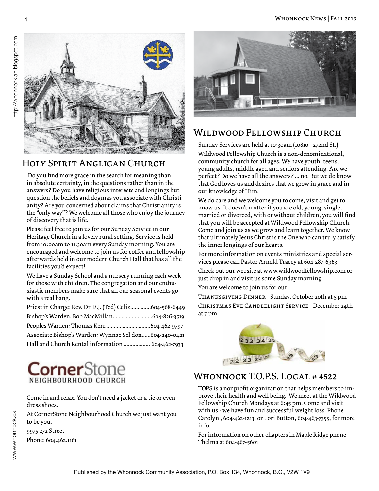

#### Holy Spirit Anglican Church

 Do you find more grace in the search for meaning than in absolute certainty, in the questions rather than in the answers? Do you have religious interests and longings but question the beliefs and dogmas you associate with Christianity? Are you concerned about claims that Christianity is the "only way"? We welcome all those who enjoy the journey of discovery that is life.

Please feel free to join us for our Sunday Service in our Heritage Church in a lovely rural setting. Service is held from 10:00am to 11:30am every Sunday morning. You are encouraged and welcome to join us for coffee and fellowship afterwards held in our modern Church Hall that has all the facilities you'd expect!

We have a Sunday School and a nursery running each week for those with children. The congregation and our enthusiastic members make sure that all our seasonal events go with a real bang.

| Priest in Charge: Rev. Dr. E.J. (Ted) Celiz604-568-6449 |  |
|---------------------------------------------------------|--|
| Bishop's Warden: Bob MacMillan604-826-3519              |  |
|                                                         |  |
| Associate Bishop's Warden: Wynnae Sel don604-240-0421   |  |
| Hall and Church Rental information  604-462-7933        |  |



#### Wildwood Fellowship Church

Sunday Services are held at 10:30am (10810 - 272nd St.) Wildwood Fellowship Church is a non-denominational, community church for all ages. We have youth, teens, young adults, middle aged and seniors attending. Are we perfect? Do we have all the answers? ... no. But we do know that God loves us and desires that we grow in grace and in our knowledge of Him.

We do care and we welcome you to come, visit and get to know us. It doesn't matter if you are old, young, single, married or divorced, with or without children, you will find that you will be accepted at Wildwood Fellowship Church. Come and join us as we grow and learn together. We know that ultimately Jesus Christ is the One who can truly satisfy the inner longings of our hearts.

For more information on events ministries and special services please call Pastor Arnold Tracey at 604-287-6963,

Check out our website at www.wildwoodfellowship.com or just drop in and visit us some Sunday morning.

You are welcome to join us for our:

Thanksgiving Dinner - Sunday, October 20th at 5 pm Christmas Eve Candlelight Service - December 24th at 7 pm



#### WHONNOCK T.O.P.S. LOCAL # 4522

TOPS is a nonprofit organization that helps members to improve their health and well being. We meet at the Wildwood Fellowship Church Mondays at 6:45 pm. Come and visit with us - we have fun and successful weight loss. Phone Carolyn , 604-462-1213, or Lori Button, 604-463-7355, for more info.

For information on other chapters in Maple Ridge phone Thelma at 604-467-5601

 $\mathsf{CornerS}$ NEIGHBOURHOOD CHURCH

Come in and relax. You don't need a jacket or a tie or even dress shoes.

At CornerStone Neighbourhood Church we just want you to be you.

9975 272 Street

Phone: 604.462.1161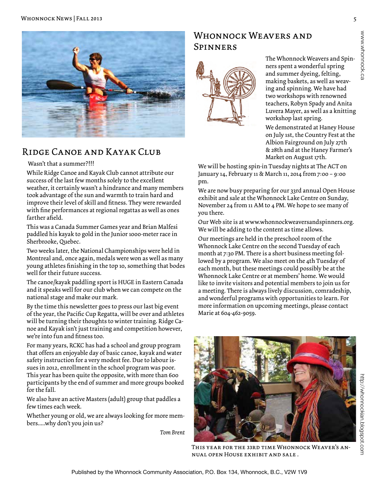

#### Ridge Canoe and Kayak Club

#### Wasn't that a summer?!!!

While Ridge Canoe and Kayak Club cannot attribute our success of the last few months solely to the excellent weather, it certainly wasn't a hindrance and many members took advantage of the sun and warmth to train hard and improve their level of skill and fitness. They were rewarded with fine performances at regional regattas as well as ones farther afield.

This was a Canada Summer Games year and Brian Malfesi paddled his kayak to gold in the Junior 1000-meter race in Sherbrooke, Quebec.

Two weeks later, the National Championships were held in Montreal and, once again, medals were won as well as many young athletes finishing in the top 10, something that bodes well for their future success.

The canoe/kayak paddling sport is HUGE in Eastern Canada and it speaks well for our club when we can compete on the national stage and make our mark.

By the time this newsletter goes to press our last big event of the year, the Pacific Cup Regatta, will be over and athletes will be turning their thoughts to winter training. Ridge Canoe and Kayak isn't just training and competition however, we're into fun and fitness too.

For many years, RCKC has had a school and group program that offers an enjoyable day of basic canoe, kayak and water safety instruction for a very modest fee. Due to labour issues in 2012, enrollment in the school program was poor. This year has been quite the opposite, with more than 600 participants by the end of summer and more groups booked for the fall.

We also have an active Masters (adult) group that paddles a few times each week.

Whether young or old, we are always looking for more members.....why don't you join us?

*Tom Brent* 

#### WHONNOCK WEAVERS AND Spinners



The Whonnock Weavers and Spinners spent a wonderful spring and summer dyeing, felting, making baskets, as well as weaving and spinning. We have had two workshops with renowned teachers, Robyn Spady and Anita Luvera Mayer, as well as a knitting workshop last spring.

We demonstrated at Haney House on July 1st, the Country Fest at the Albion Fairground on July 27th & 28th and at the Haney Farmer's Market on August 17th.

We will be hosting spin-in Tuesday nights at The ACT on January 14, February 11 & March 11, 2014 from 7:00 – 9:00 pm.

We are now busy preparing for our 33rd annual Open House exhibit and sale at the Whonnock Lake Centre on Sunday, November 24 from 11 AM to 4 PM. We hope to see many of you there.

Our Web site is at www.whonnockweaversandspinners.org. We will be adding to the content as time allows.

Our meetings are held in the preschool room of the Whonnock Lake Centre on the second Tuesday of each month at 7:30 PM. There is a short business meeting followed by a program. We also meet on the 4th Tuesday of each month, but these meetings could possibly be at the Whonnock Lake Centre or at members' home. We would like to invite visitors and potential members to join us for a meeting. There is always lively discussion, comradeship, and wonderful programs with opportunities to learn. For more information on upcoming meetings, please contact Marie at 604-462-9059.



This year for the 33rd time Whonnock Weaver's annual open House exhibit and sale .

www.whonnock.ca

www.whonnock.ca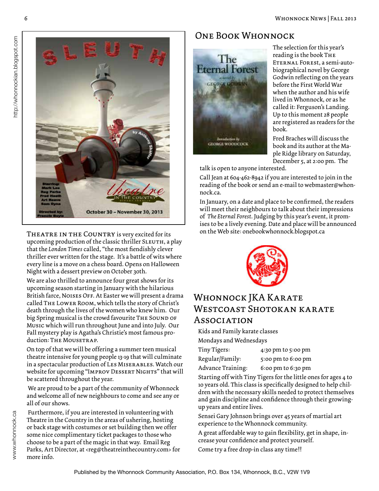

THEATRE IN THE COUNTRY is very excited for its upcoming production of the classic thriller SLEUTH, a play that the *London Times* called, "the most fiendishly clever thriller ever written for the stage. It's a battle of wits where every line is a move on a chess board. Opens on Halloween Night with a dessert preview on October 30th.

We are also thrilled to announce four great shows for its upcoming season starting in January with the hilarious British farce, NOISES OFF. At Easter we will present a drama called The Lower Room, which tells the story of Christ's death through the lives of the women who knew him. Our big Spring musical is the crowd favourite THE SOUND OF Music which will run throughout June and into July. Our Fall mystery play is Agatha's Christie's most famous production: THE MOUSETRAP.

On top of that we will be offering a summer teen musical theatre intensive for young people 13-19 that will culminate in a spectacular production of Les Miserables. Watch our website for upcoming "IMPROV DESSERT NIGHTS" that will be scattered throughout the year.

 We are proud to be a part of the community of Whonnock and welcome all of new neighbours to come and see any or all of our shows.

 Furthermore, if you are interested in volunteering with Theatre in the Country in the areas of ushering, hosting or back stage with costumes or set building then we offer some nice complimentary ticket packages to those who choose to be a part of the magic in that way. Email Reg Parks, Art Director, at <reg@theatreinthecountry.com> for more info.

#### One Book Whonnock



The selection for this year's reading is the book The Eternal Forest, a semi-autobiographical novel by George Godwin reflecting on the years before the First World War when the author and his wife lived in Whonnock, or as he called it: Ferguson's Landing. Up to this moment 28 people are registered as readers for the book.

Fred Braches will discuss the book and its author at the Maple Ridge library on Saturday, December 5, at 2:00 pm. The

talk is open to anyone interested.

Call Jean at 604-462-8942 if you are interested to join in the reading of the book or send an e-mail to webmaster@whonnock.ca.

In January, on a date and place to be confirmed, the readers will meet their neighbours to talk about their impressions of *The Eternal Forest*. Judging by this year's event, it promises to be a lively evening. Date and place will be announced on the Web site: onebookwhonnock.blogspot.ca



#### WHONNOCK JKA KARATE WESTCOAST SHOTOKAN KARATE **Association**

Kids and Family karate classes

Mondays and Wednesdays

| Tiny Tigers:      | 4:30 pm to 5:00 pm |
|-------------------|--------------------|
| Regular/Family:   | 5:00 pm to 6:00 pm |
| Advance Training: | 6:00 pm to 6:30 pm |

Starting off with Tiny Tigers for the little ones for ages 4 to 10 years old. This class is specifically designed to help children with the necessary skills needed to protect themselves and gain discipline and confidence through their growingup years and entire lives.

Sensei Gary Johnson brings over 45 years of martial art experience to the Whonnock community.

A great affordable way to gain flexibility, get in shape, increase your confidence and protect yourself.

Come try a free drop-in class any time!!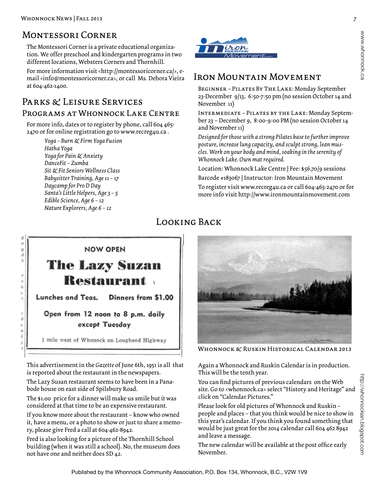#### Montessori Corner

The Montessori Corner is a private educational organization. We offer preschool and kindergarten programs in two different locations, Websters Corners and Thornhill.

For more information visit <http://montessoricorner.ca/>, email <info@montessoricorner.ca>, or call Ms. Debora Vieira at 604-462-1400.

#### PARKS & LEISURE SERVICES PROGRAMS AT WHONNOCK LAKE CENTRE

For more info, dates or to register by phone, call 604 465- 2470 or for online registration go to www.recreg4u.ca .

> *Yoga – Burn & Firm Yoga Fusion Hatha Yoga Yoga for Pain & Anxiety DanceFit – Zumba Sit & Fit Seniors Wellness Class Babysitter Training, Age 11 – 17 Daycamp for Pro D Day Santa's Little Helpers, Age 3 – 5 Edible Science, Age 6 – 12 Nature Explorers, Age 6 – 12*



#### Iron Mountain Movement

Beginner – Pilates By The Lake: Monday September 23-December 9/13, 6:50-7:50 pm (no session October 14 and November 11)

Intermediate – Pilates by the Lake: Monday September 23 – December 9, 8:00-9:00 PM (no session October 14 and November 11)

*Designed for those with a strong Pilates base to further improve posture, increase lung capacity, and sculpt strong, lean muscles. Work on your body and mind, soaking in the serenity of Whonnock Lake. Own mat required.*

Location: Whonnock Lake Centre | Fee: \$56.70/9 sessions

Barcode #183067 | Instructor: Iron Mountain Movement

To register visit www.recreg4u.ca or call 604-465-2470 or for more info visit http://www.ironmountainmovement.com

#### Looking Back



This advertisement in the *Gazette* of June 6th, 1951 is all that is reported about the restaurant in the newspapers.

The Lazy Susan restaurant seems to have been in a Panabode house on east side of Spilsbury Road.

The \$1.00 price for a dinner will make us smile but it was considered at that time to be an expensive restaurant.

If you know more about the restaurant – know who owned it, have a menu, or a photo to show or just to share a memory, please give Fred a call at 604-462-8942.

Fred is also looking for a picture of the Thornhill School building (when it was still a school). No, the museum does not have one and neither does SD 42.



Whonnock & Ruskin Historical Calendar 2013

Again a Whonnock and Ruskin Calendar is in production. This will be the tenth year.

You can find pictures of previous calendars on the Web site. Go to <whonnock.ca> select "History and Heritage" and click on "Calendar Pictures."

Please look for old pictures of Whonnock and Ruskin – people and places – that you think would be nice to show in this year's calendar. If you think you found something that would be just great for the 2014 calendar call 604 462 8942 and leave a message.

The new calendar will be available at the post office early November.